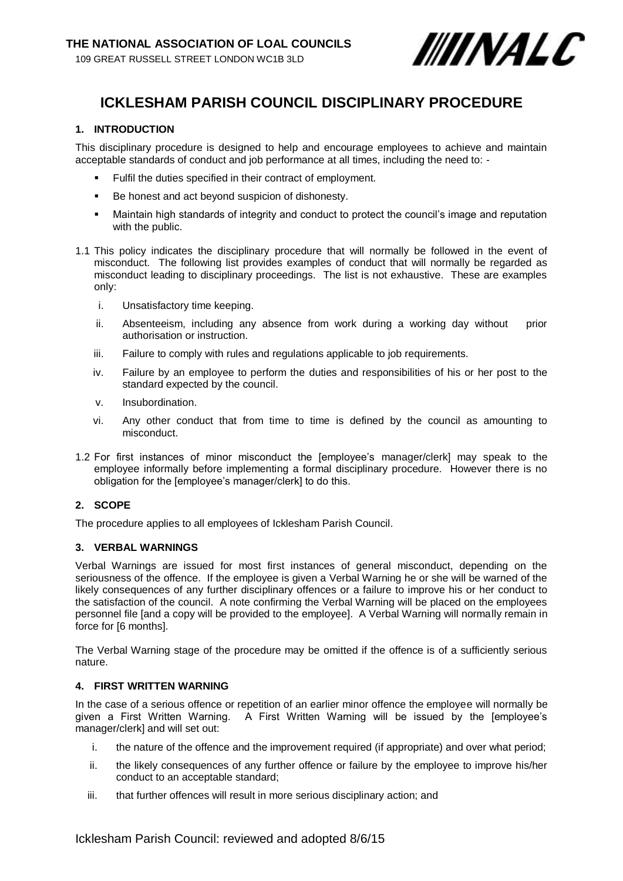

# **ICKLESHAM PARISH COUNCIL DISCIPLINARY PROCEDURE**

### **1. INTRODUCTION**

This disciplinary procedure is designed to help and encourage employees to achieve and maintain acceptable standards of conduct and job performance at all times, including the need to: -

- Fulfil the duties specified in their contract of employment.
- Be honest and act beyond suspicion of dishonesty.
- Maintain high standards of integrity and conduct to protect the council's image and reputation with the public.
- 1.1 This policy indicates the disciplinary procedure that will normally be followed in the event of misconduct. The following list provides examples of conduct that will normally be regarded as misconduct leading to disciplinary proceedings. The list is not exhaustive. These are examples only:
	- i. Unsatisfactory time keeping.
	- ii. Absenteeism, including any absence from work during a working day without prior authorisation or instruction.
	- iii. Failure to comply with rules and regulations applicable to job requirements.
	- iv. Failure by an employee to perform the duties and responsibilities of his or her post to the standard expected by the council.
	- v. Insubordination.
	- vi. Any other conduct that from time to time is defined by the council as amounting to misconduct.
- 1.2 For first instances of minor misconduct the [employee's manager/clerk] may speak to the employee informally before implementing a formal disciplinary procedure. However there is no obligation for the [employee's manager/clerk] to do this.

#### **2. SCOPE**

The procedure applies to all employees of Icklesham Parish Council.

#### **3. VERBAL WARNINGS**

Verbal Warnings are issued for most first instances of general misconduct, depending on the seriousness of the offence. If the employee is given a Verbal Warning he or she will be warned of the likely consequences of any further disciplinary offences or a failure to improve his or her conduct to the satisfaction of the council. A note confirming the Verbal Warning will be placed on the employees personnel file [and a copy will be provided to the employee]. A Verbal Warning will normally remain in force for [6 months].

The Verbal Warning stage of the procedure may be omitted if the offence is of a sufficiently serious nature.

#### **4. FIRST WRITTEN WARNING**

In the case of a serious offence or repetition of an earlier minor offence the employee will normally be given a First Written Warning. A First Written Warning will be issued by the [employee's manager/clerk] and will set out:

- i. the nature of the offence and the improvement required (if appropriate) and over what period;
- ii. the likely consequences of any further offence or failure by the employee to improve his/her conduct to an acceptable standard;
- iii. that further offences will result in more serious disciplinary action; and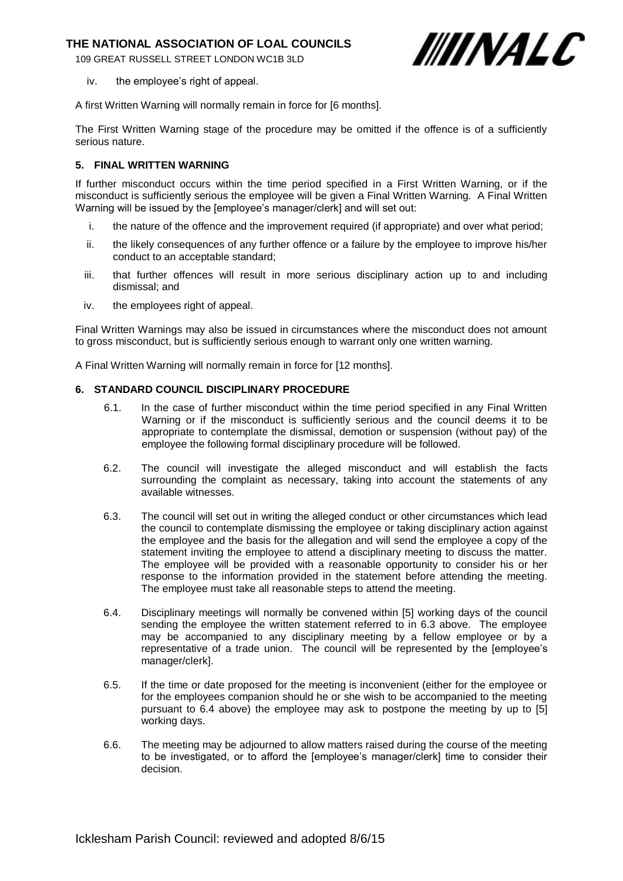## **THE NATIONAL ASSOCIATION OF LOAL COUNCILS**

109 GREAT RUSSELL STREET LONDON WC1B 3LD



iv. the employee's right of appeal.

A first Written Warning will normally remain in force for [6 months].

The First Written Warning stage of the procedure may be omitted if the offence is of a sufficiently serious nature.

#### **5. FINAL WRITTEN WARNING**

If further misconduct occurs within the time period specified in a First Written Warning, or if the misconduct is sufficiently serious the employee will be given a Final Written Warning. A Final Written Warning will be issued by the [employee's manager/clerk] and will set out:

- i. the nature of the offence and the improvement required (if appropriate) and over what period;
- ii. the likely consequences of any further offence or a failure by the employee to improve his/her conduct to an acceptable standard;
- iii. that further offences will result in more serious disciplinary action up to and including dismissal; and
- iv. the employees right of appeal.

Final Written Warnings may also be issued in circumstances where the misconduct does not amount to gross misconduct, but is sufficiently serious enough to warrant only one written warning.

A Final Written Warning will normally remain in force for [12 months].

#### **6. STANDARD COUNCIL DISCIPLINARY PROCEDURE**

- 6.1. In the case of further misconduct within the time period specified in any Final Written Warning or if the misconduct is sufficiently serious and the council deems it to be appropriate to contemplate the dismissal, demotion or suspension (without pay) of the employee the following formal disciplinary procedure will be followed.
- 6.2. The council will investigate the alleged misconduct and will establish the facts surrounding the complaint as necessary, taking into account the statements of any available witnesses.
- 6.3. The council will set out in writing the alleged conduct or other circumstances which lead the council to contemplate dismissing the employee or taking disciplinary action against the employee and the basis for the allegation and will send the employee a copy of the statement inviting the employee to attend a disciplinary meeting to discuss the matter. The employee will be provided with a reasonable opportunity to consider his or her response to the information provided in the statement before attending the meeting. The employee must take all reasonable steps to attend the meeting.
- 6.4. Disciplinary meetings will normally be convened within [5] working days of the council sending the employee the written statement referred to in 6.3 above. The employee may be accompanied to any disciplinary meeting by a fellow employee or by a representative of a trade union. The council will be represented by the [employee's manager/clerk].
- 6.5. If the time or date proposed for the meeting is inconvenient (either for the employee or for the employees companion should he or she wish to be accompanied to the meeting pursuant to 6.4 above) the employee may ask to postpone the meeting by up to [5] working days.
- 6.6. The meeting may be adjourned to allow matters raised during the course of the meeting to be investigated, or to afford the [employee's manager/clerk] time to consider their decision.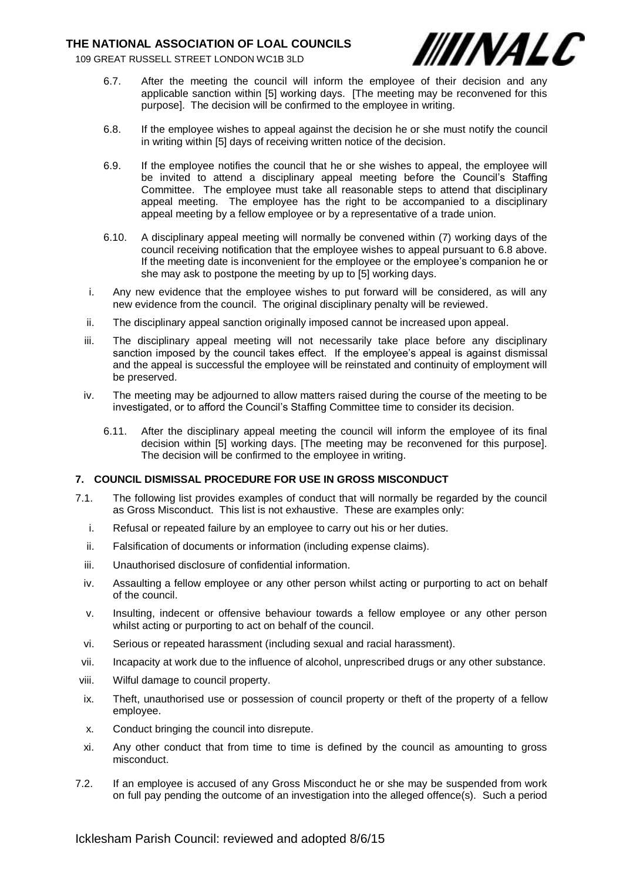## **THE NATIONAL ASSOCIATION OF LOAL COUNCILS**

109 GREAT RUSSELL STREET LONDON WC1B 3LD



- 6.7. After the meeting the council will inform the employee of their decision and any applicable sanction within [5] working days. [The meeting may be reconvened for this purpose]. The decision will be confirmed to the employee in writing.
- 6.8. If the employee wishes to appeal against the decision he or she must notify the council in writing within [5] days of receiving written notice of the decision.
- 6.9. If the employee notifies the council that he or she wishes to appeal, the employee will be invited to attend a disciplinary appeal meeting before the Council's Staffing Committee. The employee must take all reasonable steps to attend that disciplinary appeal meeting. The employee has the right to be accompanied to a disciplinary appeal meeting by a fellow employee or by a representative of a trade union.
- 6.10. A disciplinary appeal meeting will normally be convened within (7) working days of the council receiving notification that the employee wishes to appeal pursuant to 6.8 above. If the meeting date is inconvenient for the employee or the employee's companion he or she may ask to postpone the meeting by up to [5] working days.
- i. Any new evidence that the employee wishes to put forward will be considered, as will any new evidence from the council. The original disciplinary penalty will be reviewed.
- ii. The disciplinary appeal sanction originally imposed cannot be increased upon appeal.
- iii. The disciplinary appeal meeting will not necessarily take place before any disciplinary sanction imposed by the council takes effect. If the employee's appeal is against dismissal and the appeal is successful the employee will be reinstated and continuity of employment will be preserved.
- iv. The meeting may be adjourned to allow matters raised during the course of the meeting to be investigated, or to afford the Council's Staffing Committee time to consider its decision.
	- 6.11. After the disciplinary appeal meeting the council will inform the employee of its final decision within [5] working days. [The meeting may be reconvened for this purpose]. The decision will be confirmed to the employee in writing.

#### **7. COUNCIL DISMISSAL PROCEDURE FOR USE IN GROSS MISCONDUCT**

- 7.1. The following list provides examples of conduct that will normally be regarded by the council as Gross Misconduct. This list is not exhaustive. These are examples only:
	- i. Refusal or repeated failure by an employee to carry out his or her duties.
	- ii. Falsification of documents or information (including expense claims).
	- iii. Unauthorised disclosure of confidential information.
	- iv. Assaulting a fellow employee or any other person whilst acting or purporting to act on behalf of the council.
	- v. Insulting, indecent or offensive behaviour towards a fellow employee or any other person whilst acting or purporting to act on behalf of the council.
	- vi. Serious or repeated harassment (including sexual and racial harassment).
	- vii. Incapacity at work due to the influence of alcohol, unprescribed drugs or any other substance.
- viii. Wilful damage to council property.
- ix. Theft, unauthorised use or possession of council property or theft of the property of a fellow employee.
- x. Conduct bringing the council into disrepute.
- xi. Any other conduct that from time to time is defined by the council as amounting to gross misconduct.
- 7.2. If an employee is accused of any Gross Misconduct he or she may be suspended from work on full pay pending the outcome of an investigation into the alleged offence(s). Such a period